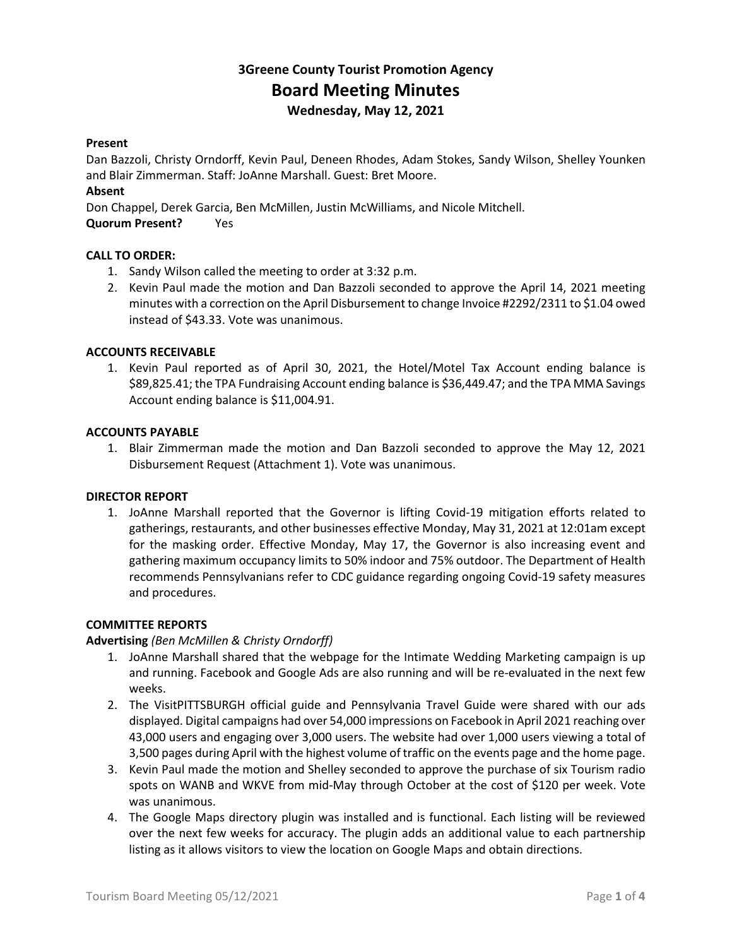# **3Greene County Tourist Promotion Agency Board Meeting Minutes Wednesday, May 12, 2021**

#### **Present**

Dan Bazzoli, Christy Orndorff, Kevin Paul, Deneen Rhodes, Adam Stokes, Sandy Wilson, Shelley Younken and Blair Zimmerman. Staff: JoAnne Marshall. Guest: Bret Moore.

# **Absent**

Don Chappel, Derek Garcia, Ben McMillen, Justin McWilliams, and Nicole Mitchell.

**Quorum Present?** Yes

# **CALL TO ORDER:**

- 1. Sandy Wilson called the meeting to order at 3:32 p.m.
- 2. Kevin Paul made the motion and Dan Bazzoli seconded to approve the April 14, 2021 meeting minutes with a correction on the April Disbursement to change Invoice #2292/2311 to \$1.04 owed instead of \$43.33. Vote was unanimous.

# **ACCOUNTS RECEIVABLE**

1. Kevin Paul reported as of April 30, 2021, the Hotel/Motel Tax Account ending balance is \$89,825.41; the TPA Fundraising Account ending balance is \$36,449.47; and the TPA MMA Savings Account ending balance is \$11,004.91.

#### **ACCOUNTS PAYABLE**

1. Blair Zimmerman made the motion and Dan Bazzoli seconded to approve the May 12, 2021 Disbursement Request (Attachment 1). Vote was unanimous.

#### **DIRECTOR REPORT**

1. JoAnne Marshall reported that the Governor is lifting Covid-19 mitigation efforts related to gatherings, restaurants, and other businesses effective Monday, May 31, 2021 at 12:01am except for the masking order. Effective Monday, May 17, the Governor is also increasing event and gathering maximum occupancy limits to 50% indoor and 75% outdoor. The Department of Health recommends Pennsylvanians refer to CDC guidance regarding ongoing Covid-19 safety measures and procedures.

#### **COMMITTEE REPORTS**

#### **Advertising** *(Ben McMillen & Christy Orndorff)*

- 1. JoAnne Marshall shared that the webpage for the Intimate Wedding Marketing campaign is up and running. Facebook and Google Ads are also running and will be re-evaluated in the next few weeks.
- 2. The VisitPITTSBURGH official guide and Pennsylvania Travel Guide were shared with our ads displayed. Digital campaigns had over 54,000 impressions on Facebook in April 2021 reaching over 43,000 users and engaging over 3,000 users. The website had over 1,000 users viewing a total of 3,500 pages during April with the highest volume of traffic on the events page and the home page.
- 3. Kevin Paul made the motion and Shelley seconded to approve the purchase of six Tourism radio spots on WANB and WKVE from mid-May through October at the cost of \$120 per week. Vote was unanimous.
- 4. The Google Maps directory plugin was installed and is functional. Each listing will be reviewed over the next few weeks for accuracy. The plugin adds an additional value to each partnership listing as it allows visitors to view the location on Google Maps and obtain directions.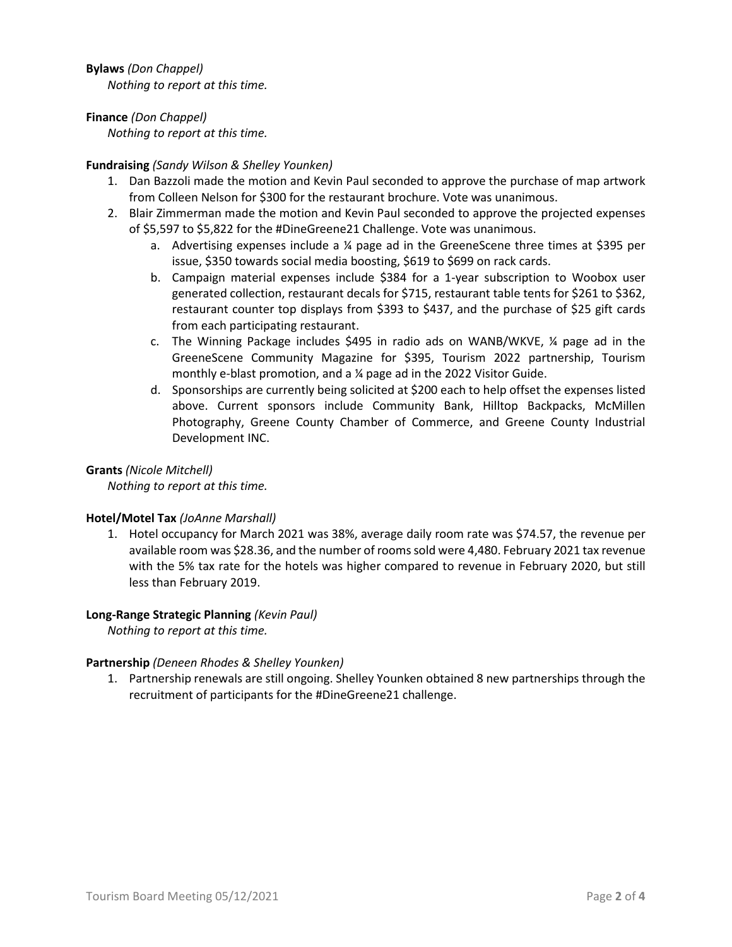**Bylaws** *(Don Chappel) Nothing to report at this time.*

**Finance** *(Don Chappel)*

*Nothing to report at this time.*

# **Fundraising** *(Sandy Wilson & Shelley Younken)*

- 1. Dan Bazzoli made the motion and Kevin Paul seconded to approve the purchase of map artwork from Colleen Nelson for \$300 for the restaurant brochure. Vote was unanimous.
- 2. Blair Zimmerman made the motion and Kevin Paul seconded to approve the projected expenses of \$5,597 to \$5,822 for the #DineGreene21 Challenge. Vote was unanimous.
	- a. Advertising expenses include a  $\frac{1}{4}$  page ad in the GreeneScene three times at \$395 per issue, \$350 towards social media boosting, \$619 to \$699 on rack cards.
	- b. Campaign material expenses include \$384 for a 1-year subscription to Woobox user generated collection, restaurant decals for \$715, restaurant table tents for \$261 to \$362, restaurant counter top displays from \$393 to \$437, and the purchase of \$25 gift cards from each participating restaurant.
	- c. The Winning Package includes \$495 in radio ads on WANB/WKVE, ¼ page ad in the GreeneScene Community Magazine for \$395, Tourism 2022 partnership, Tourism monthly e-blast promotion, and a ¼ page ad in the 2022 Visitor Guide.
	- d. Sponsorships are currently being solicited at \$200 each to help offset the expenses listed above. Current sponsors include Community Bank, Hilltop Backpacks, McMillen Photography, Greene County Chamber of Commerce, and Greene County Industrial Development INC.

# **Grants** *(Nicole Mitchell)*

*Nothing to report at this time.*

# **Hotel/Motel Tax** *(JoAnne Marshall)*

1. Hotel occupancy for March 2021 was 38%, average daily room rate was \$74.57, the revenue per available room was \$28.36, and the number of rooms sold were 4,480. February 2021 tax revenue with the 5% tax rate for the hotels was higher compared to revenue in February 2020, but still less than February 2019.

# **Long-Range Strategic Planning** *(Kevin Paul)*

*Nothing to report at this time.*

# **Partnership** *(Deneen Rhodes & Shelley Younken)*

1. Partnership renewals are still ongoing. Shelley Younken obtained 8 new partnerships through the recruitment of participants for the #DineGreene21 challenge.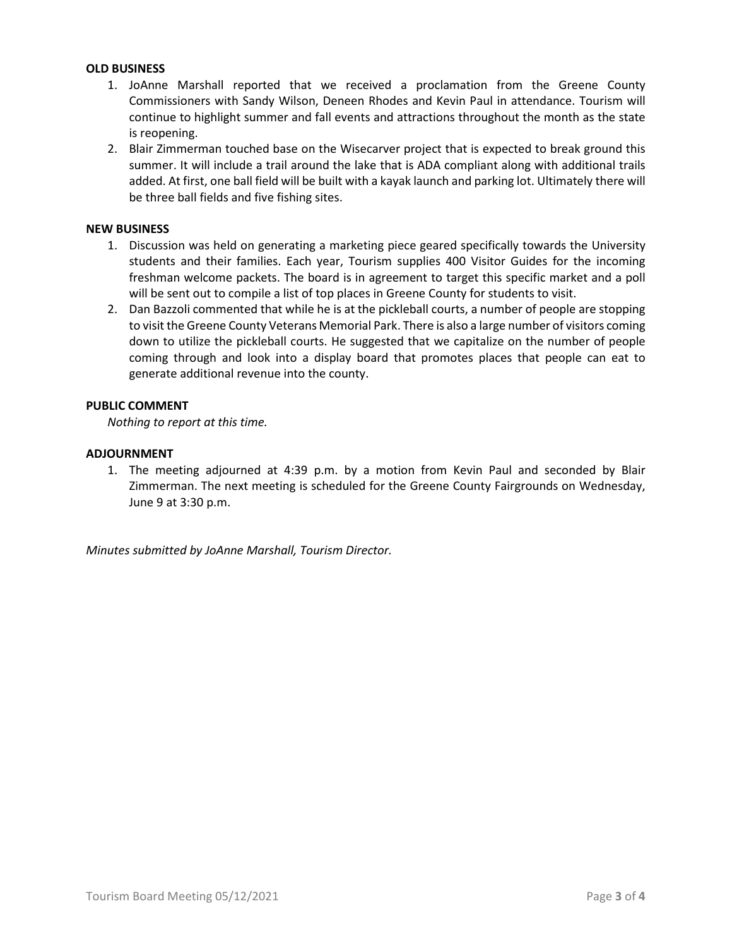#### **OLD BUSINESS**

- 1. JoAnne Marshall reported that we received a proclamation from the Greene County Commissioners with Sandy Wilson, Deneen Rhodes and Kevin Paul in attendance. Tourism will continue to highlight summer and fall events and attractions throughout the month as the state is reopening.
- 2. Blair Zimmerman touched base on the Wisecarver project that is expected to break ground this summer. It will include a trail around the lake that is ADA compliant along with additional trails added. At first, one ball field will be built with a kayak launch and parking lot. Ultimately there will be three ball fields and five fishing sites.

#### **NEW BUSINESS**

- 1. Discussion was held on generating a marketing piece geared specifically towards the University students and their families. Each year, Tourism supplies 400 Visitor Guides for the incoming freshman welcome packets. The board is in agreement to target this specific market and a poll will be sent out to compile a list of top places in Greene County for students to visit.
- 2. Dan Bazzoli commented that while he is at the pickleball courts, a number of people are stopping to visit the Greene County Veterans Memorial Park. There is also a large number of visitors coming down to utilize the pickleball courts. He suggested that we capitalize on the number of people coming through and look into a display board that promotes places that people can eat to generate additional revenue into the county.

# **PUBLIC COMMENT**

*Nothing to report at this time.*

# **ADJOURNMENT**

1. The meeting adjourned at 4:39 p.m. by a motion from Kevin Paul and seconded by Blair Zimmerman. The next meeting is scheduled for the Greene County Fairgrounds on Wednesday, June 9 at 3:30 p.m.

*Minutes submitted by JoAnne Marshall, Tourism Director.*